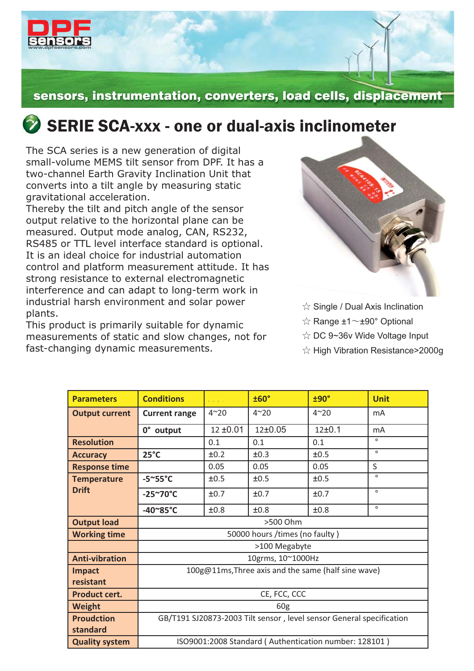

## sensors, instrumentation, converters, load cells, displacement

## $\bullet$  SERIE SCA-xxx - one or dual-axis inclinometer

The SCA series is a new generation of digital small-volume MEMS tilt sensor from DPF. It has a two-channel Earth Gravity Inclination Unit that converts into a tilt angle by measuring static gravitational acceleration.

Thereby the tilt and pitch angle of the sensor output relative to the horizontal plane can be measured. Output mode analog, CAN, RS232, RS485 or TTL level interface standard is optional. It is an ideal choice for industrial automation control and platform measurement attitude. It has strong resistance to external electromagnetic interference and can adapt to long-term work in industrial harsh environment and solar power plants.

This product is primarily suitable for dynamic measurements of static and slow changes, not for fast-changing dynamic measurements.



 $\Im$  Single / Dual Axis Inclination

 $\hat{\mathbb{R}}$  Range  $\pm 1$   $\sim$   $\pm 90^{\circ}$  Optional

☆ DC 9~36v Wide Voltage Input

☆ High Vibration Resistance>2000g

| <b>Parameters</b>     | <b>Conditions</b>                                                    | and a state   | ±60°                                                  | ±90°         | <b>Unit</b> |  |  |
|-----------------------|----------------------------------------------------------------------|---------------|-------------------------------------------------------|--------------|-------------|--|--|
| <b>Output current</b> | <b>Current range</b>                                                 | $4^{\sim}20$  | $4^{\sim}20$                                          | $4^{\sim}20$ | mA          |  |  |
|                       | 0° output                                                            | $12 \pm 0.01$ | 12±0.05                                               | 12±0.1       | mA          |  |  |
| <b>Resolution</b>     |                                                                      | 0.1           | 0.1                                                   | 0.1          | $\circ$     |  |  |
| <b>Accuracy</b>       | $25^{\circ}$ C                                                       | ±0.2          | ±0.3                                                  | ±0.5         | $\circ$     |  |  |
| <b>Response time</b>  |                                                                      | 0.05          | 0.05                                                  | 0.05         | S           |  |  |
| <b>Temperature</b>    | $-5^{\circ}55^{\circ}C$                                              | ±0.5          | ±0.5                                                  | ±0.5         | $\circ$     |  |  |
| <b>Drift</b>          | $-25^{\sim}70^{\circ}C$                                              | ±0.7          | ±0.7                                                  | ±0.7         | $\circ$     |  |  |
|                       | $-40^{\circ}85^{\circ}C$                                             | ±0.8          | ±0.8                                                  | ±0.8         | $\circ$     |  |  |
| <b>Output load</b>    | >500 Ohm                                                             |               |                                                       |              |             |  |  |
| <b>Working time</b>   | 50000 hours /times (no faulty)                                       |               |                                                       |              |             |  |  |
|                       | >100 Megabyte                                                        |               |                                                       |              |             |  |  |
| <b>Anti-vibration</b> | 10grms, 10~1000Hz                                                    |               |                                                       |              |             |  |  |
| <b>Impact</b>         | 100g@11ms, Three axis and the same (half sine wave)                  |               |                                                       |              |             |  |  |
| resistant             |                                                                      |               |                                                       |              |             |  |  |
| <b>Product cert.</b>  | CE, FCC, CCC                                                         |               |                                                       |              |             |  |  |
| <b>Weight</b>         | 60 <sub>g</sub>                                                      |               |                                                       |              |             |  |  |
| <b>Proudction</b>     | GB/T191 SJ20873-2003 Tilt sensor, level sensor General specification |               |                                                       |              |             |  |  |
| standard              |                                                                      |               |                                                       |              |             |  |  |
| <b>Quality system</b> |                                                                      |               | ISO9001:2008 Standard (Authentication number: 128101) |              |             |  |  |